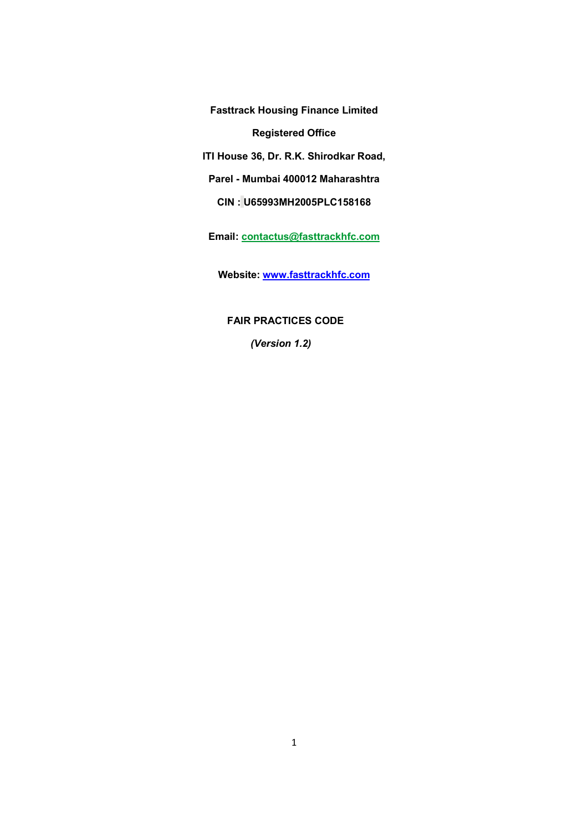Fasttrack Housing Finance Limited Registered Office

ITI House 36, Dr. R.K. Shirodkar Road,

Parel - Mumbai 400012 Maharashtra

CIN : U65993MH2005PLC158168

Email: contactus@fasttrackhfc.com

Website: www.fasttrackhfc.com

FAIR PRACTICES CODE

(Version 1.2)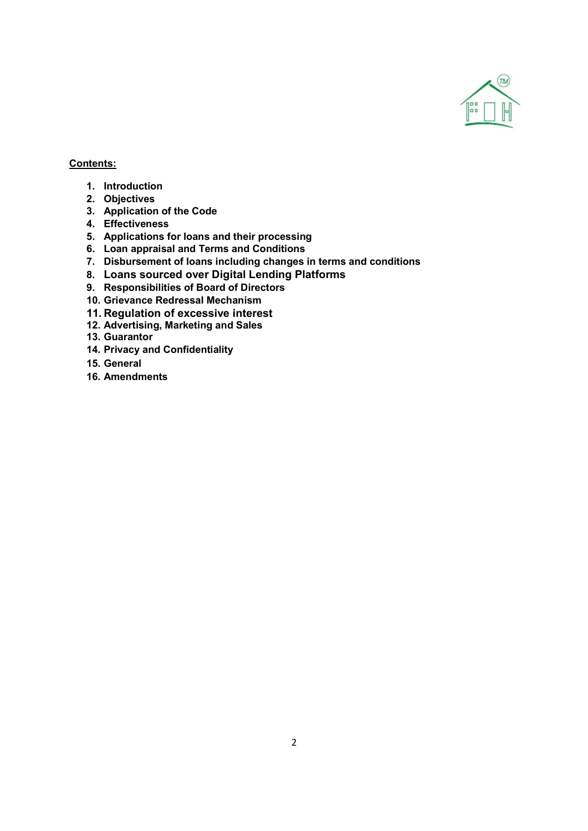

## Contents:

- 1. Introduction
- 2. Objectives
- 3. Application of the Code
- 4. Effectiveness
- 5. Applications for loans and their processing
- 6. Loan appraisal and Terms and Conditions
- 7. Disbursement of loans including changes in terms and conditions
- 8. Loans sourced over Digital Lending Platforms
- 9. Responsibilities of Board of Directors
- 10. Grievance Redressal Mechanism
- 11. Regulation of excessive interest
- 12. Advertising, Marketing and Sales
- 13. Guarantor
- 14. Privacy and Confidentiality
- 15. General
- 16. Amendments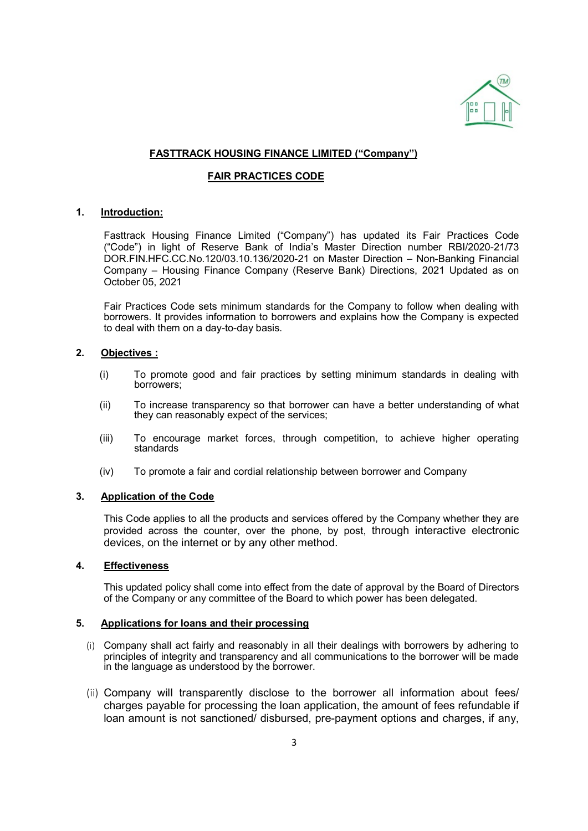

## FASTTRACK HOUSING FINANCE LIMITED ("Company")

### FAIR PRACTICES CODE

### 1. Introduction:

Fasttrack Housing Finance Limited ("Company") has updated its Fair Practices Code ("Code") in light of Reserve Bank of India's Master Direction number RBI/2020-21/73 DOR.FIN.HFC.CC.No.120/03.10.136/2020-21 on Master Direction – Non-Banking Financial Company – Housing Finance Company (Reserve Bank) Directions, 2021 Updated as on October 05, 2021

Fair Practices Code sets minimum standards for the Company to follow when dealing with borrowers. It provides information to borrowers and explains how the Company is expected to deal with them on a day-to-day basis.

### 2. Objectives :

- (i) To promote good and fair practices by setting minimum standards in dealing with borrowers;
- (ii) To increase transparency so that borrower can have a better understanding of what they can reasonably expect of the services;
- (iii) To encourage market forces, through competition, to achieve higher operating standards
- (iv) To promote a fair and cordial relationship between borrower and Company

#### 3. Application of the Code

This Code applies to all the products and services offered by the Company whether they are provided across the counter, over the phone, by post, through interactive electronic devices, on the internet or by any other method.

#### 4. Effectiveness

This updated policy shall come into effect from the date of approval by the Board of Directors of the Company or any committee of the Board to which power has been delegated.

#### 5. Applications for loans and their processing

- (i) Company shall act fairly and reasonably in all their dealings with borrowers by adhering to principles of integrity and transparency and all communications to the borrower will be made in the language as understood by the borrower.
- (ii) Company will transparently disclose to the borrower all information about fees/ charges payable for processing the loan application, the amount of fees refundable if loan amount is not sanctioned/ disbursed, pre-payment options and charges, if any,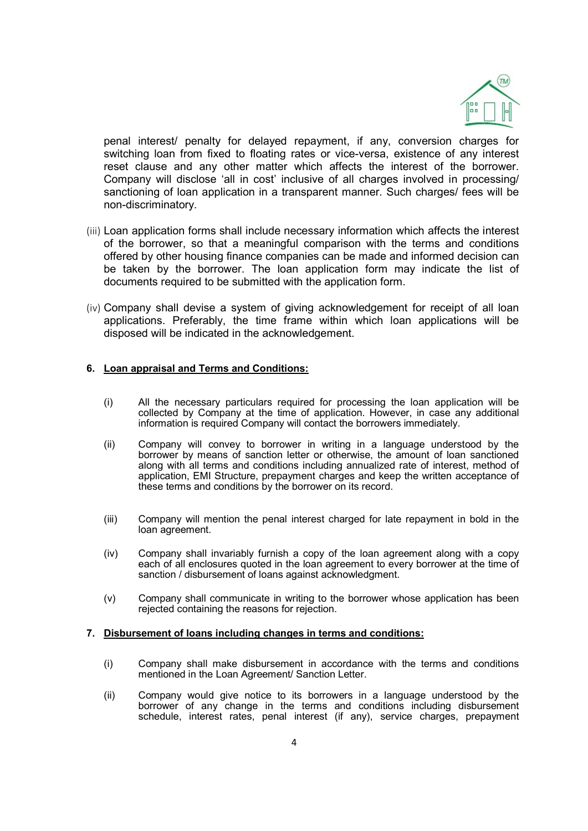

penal interest/ penalty for delayed repayment, if any, conversion charges for switching loan from fixed to floating rates or vice-versa, existence of any interest reset clause and any other matter which affects the interest of the borrower. Company will disclose 'all in cost' inclusive of all charges involved in processing/ sanctioning of loan application in a transparent manner. Such charges/ fees will be non-discriminatory.

- (iii) Loan application forms shall include necessary information which affects the interest of the borrower, so that a meaningful comparison with the terms and conditions offered by other housing finance companies can be made and informed decision can be taken by the borrower. The loan application form may indicate the list of documents required to be submitted with the application form.
- (iv) Company shall devise a system of giving acknowledgement for receipt of all loan applications. Preferably, the time frame within which loan applications will be disposed will be indicated in the acknowledgement.

### 6. Loan appraisal and Terms and Conditions:

- (i) All the necessary particulars required for processing the loan application will be collected by Company at the time of application. However, in case any additional information is required Company will contact the borrowers immediately.
- (ii) Company will convey to borrower in writing in a language understood by the borrower by means of sanction letter or otherwise, the amount of loan sanctioned along with all terms and conditions including annualized rate of interest, method of application, EMI Structure, prepayment charges and keep the written acceptance of these terms and conditions by the borrower on its record.
- (iii) Company will mention the penal interest charged for late repayment in bold in the loan agreement.
- (iv) Company shall invariably furnish a copy of the loan agreement along with a copy each of all enclosures quoted in the loan agreement to every borrower at the time of sanction / disbursement of loans against acknowledgment.
- (v) Company shall communicate in writing to the borrower whose application has been rejected containing the reasons for rejection.

#### 7. Disbursement of loans including changes in terms and conditions:

- (i) Company shall make disbursement in accordance with the terms and conditions mentioned in the Loan Agreement/ Sanction Letter.
- (ii) Company would give notice to its borrowers in a language understood by the borrower of any change in the terms and conditions including disbursement schedule, interest rates, penal interest (if any), service charges, prepayment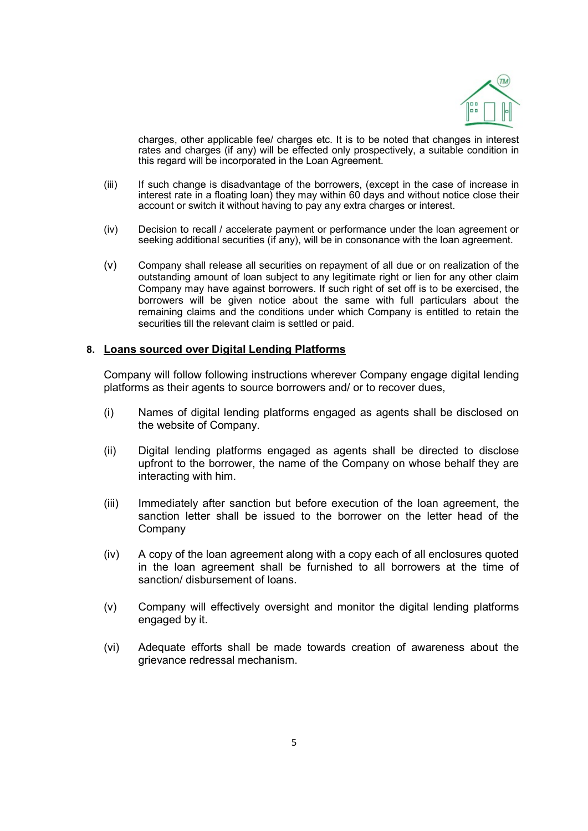

charges, other applicable fee/ charges etc. It is to be noted that changes in interest rates and charges (if any) will be effected only prospectively, a suitable condition in this regard will be incorporated in the Loan Agreement.

- (iii) If such change is disadvantage of the borrowers, (except in the case of increase in interest rate in a floating loan) they may within 60 days and without notice close their account or switch it without having to pay any extra charges or interest.
- (iv) Decision to recall / accelerate payment or performance under the loan agreement or seeking additional securities (if any), will be in consonance with the loan agreement.
- (v) Company shall release all securities on repayment of all due or on realization of the outstanding amount of loan subject to any legitimate right or lien for any other claim Company may have against borrowers. If such right of set off is to be exercised, the borrowers will be given notice about the same with full particulars about the remaining claims and the conditions under which Company is entitled to retain the securities till the relevant claim is settled or paid.

### 8. Loans sourced over Digital Lending Platforms

Company will follow following instructions wherever Company engage digital lending platforms as their agents to source borrowers and/ or to recover dues,

- (i) Names of digital lending platforms engaged as agents shall be disclosed on the website of Company.
- (ii) Digital lending platforms engaged as agents shall be directed to disclose upfront to the borrower, the name of the Company on whose behalf they are interacting with him.
- (iii) Immediately after sanction but before execution of the loan agreement, the sanction letter shall be issued to the borrower on the letter head of the Company
- (iv) A copy of the loan agreement along with a copy each of all enclosures quoted in the loan agreement shall be furnished to all borrowers at the time of sanction/ disbursement of loans.
- (v) Company will effectively oversight and monitor the digital lending platforms engaged by it.
- (vi) Adequate efforts shall be made towards creation of awareness about the grievance redressal mechanism.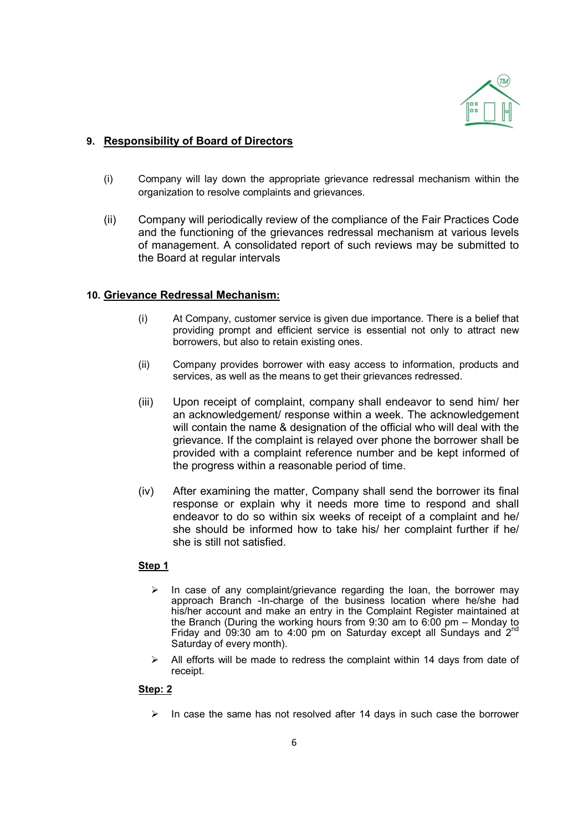

# 9. Responsibility of Board of Directors

- (i) Company will lay down the appropriate grievance redressal mechanism within the organization to resolve complaints and grievances.
- (ii) Company will periodically review of the compliance of the Fair Practices Code and the functioning of the grievances redressal mechanism at various levels of management. A consolidated report of such reviews may be submitted to the Board at regular intervals

### 10. Grievance Redressal Mechanism:

- (i) At Company, customer service is given due importance. There is a belief that providing prompt and efficient service is essential not only to attract new borrowers, but also to retain existing ones.
- (ii) Company provides borrower with easy access to information, products and services, as well as the means to get their grievances redressed.
- (iii) Upon receipt of complaint, company shall endeavor to send him/ her an acknowledgement/ response within a week. The acknowledgement will contain the name & designation of the official who will deal with the grievance. If the complaint is relayed over phone the borrower shall be provided with a complaint reference number and be kept informed of the progress within a reasonable period of time.
- (iv) After examining the matter, Company shall send the borrower its final response or explain why it needs more time to respond and shall endeavor to do so within six weeks of receipt of a complaint and he/ she should be informed how to take his/ her complaint further if he/ she is still not satisfied.

#### Step 1

- $\triangleright$  In case of any complaint/grievance regarding the loan, the borrower may approach Branch -In-charge of the business location where he/she had his/her account and make an entry in the Complaint Register maintained at the Branch (During the working hours from  $9.30$  am to  $6.00$  pm – Monday to Friday and 09:30 am to 4:00 pm on Saturday except all Sundays and  $2<sup>nd</sup>$ Saturday of every month).
- $\triangleright$  All efforts will be made to redress the complaint within 14 days from date of receipt.

#### Step: 2

 $\triangleright$  In case the same has not resolved after 14 days in such case the borrower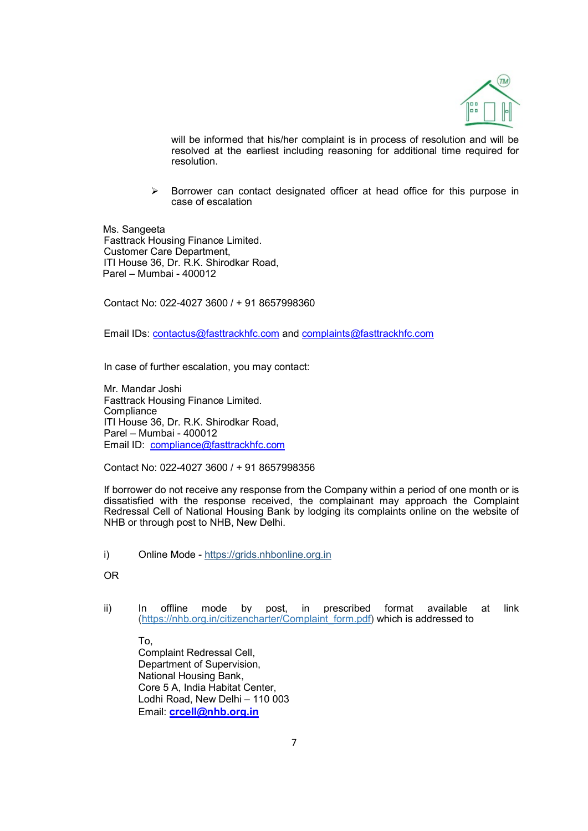

will be informed that his/her complaint is in process of resolution and will be resolved at the earliest including reasoning for additional time required for resolution.

 $\triangleright$  Borrower can contact designated officer at head office for this purpose in case of escalation

 Ms. Sangeeta Fasttrack Housing Finance Limited. Customer Care Department, ITI House 36, Dr. R.K. Shirodkar Road, Parel – Mumbai - 400012

Contact No: 022-4027 3600 / + 91 8657998360

Email IDs: contactus@fasttrackhfc.com and complaints@fasttrackhfc.com

In case of further escalation, you may contact:

Mr. Mandar Joshi Fasttrack Housing Finance Limited. **Compliance**  ITI House 36, Dr. R.K. Shirodkar Road, Parel – Mumbai - 400012 Email ID: compliance@fasttrackhfc.com

Contact No: 022-4027 3600 / + 91 8657998356

If borrower do not receive any response from the Company within a period of one month or is dissatisfied with the response received, the complainant may approach the Complaint Redressal Cell of National Housing Bank by lodging its complaints online on the website of NHB or through post to NHB, New Delhi.

i) Online Mode - https://grids.nhbonline.org.in

OR

ii) In offline mode by post, in prescribed format available at link (https://nhb.org.in/citizencharter/Complaint\_form.pdf) which is addressed to

To, Complaint Redressal Cell, Department of Supervision, National Housing Bank, Core 5 A, India Habitat Center, Lodhi Road, New Delhi – 110 003 Email: crcell@nhb.org.in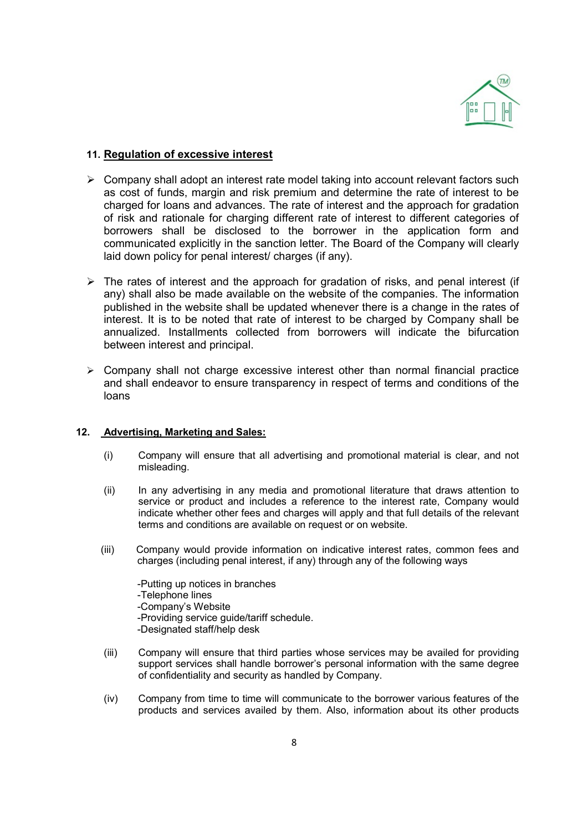

# 11. Regulation of excessive interest

- $\triangleright$  Company shall adopt an interest rate model taking into account relevant factors such as cost of funds, margin and risk premium and determine the rate of interest to be charged for loans and advances. The rate of interest and the approach for gradation of risk and rationale for charging different rate of interest to different categories of borrowers shall be disclosed to the borrower in the application form and communicated explicitly in the sanction letter. The Board of the Company will clearly laid down policy for penal interest/ charges (if any).
- $\triangleright$  The rates of interest and the approach for gradation of risks, and penal interest (if any) shall also be made available on the website of the companies. The information published in the website shall be updated whenever there is a change in the rates of interest. It is to be noted that rate of interest to be charged by Company shall be annualized. Installments collected from borrowers will indicate the bifurcation between interest and principal.
- $\triangleright$  Company shall not charge excessive interest other than normal financial practice and shall endeavor to ensure transparency in respect of terms and conditions of the loans

### 12. Advertising, Marketing and Sales:

- (i) Company will ensure that all advertising and promotional material is clear, and not misleading.
- (ii) In any advertising in any media and promotional literature that draws attention to service or product and includes a reference to the interest rate, Company would indicate whether other fees and charges will apply and that full details of the relevant terms and conditions are available on request or on website.
- (iii) Company would provide information on indicative interest rates, common fees and charges (including penal interest, if any) through any of the following ways

 -Putting up notices in branches -Telephone lines -Company's Website -Providing service guide/tariff schedule. -Designated staff/help desk

- (iii) Company will ensure that third parties whose services may be availed for providing support services shall handle borrower's personal information with the same degree of confidentiality and security as handled by Company.
- (iv) Company from time to time will communicate to the borrower various features of the products and services availed by them. Also, information about its other products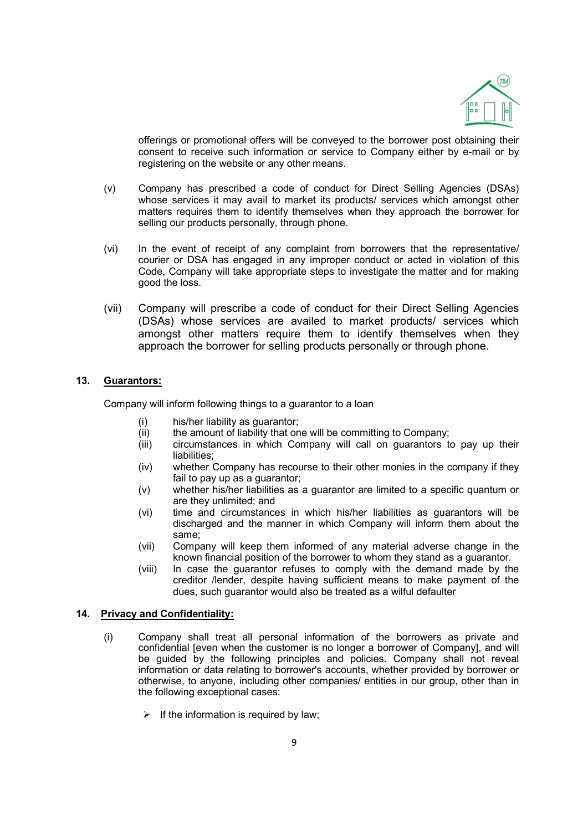

offerings or promotional offers will be conveyed to the borrower post obtaining their consent to receive such information or service to Company either by e-mail or by registering on the website or any other means.

- (v) Company has prescribed a code of conduct for Direct Selling Agencies (DSAs) whose services it may avail to market its products/ services which amongst other matters requires them to identify themselves when they approach the borrower for selling our products personally, through phone.
- (vi) In the event of receipt of any complaint from borrowers that the representative/ courier or DSA has engaged in any improper conduct or acted in violation of this Code, Company will take appropriate steps to investigate the matter and for making good the loss.
- (vii) Company will prescribe a code of conduct for their Direct Selling Agencies (DSAs) whose services are availed to market products/ services which amongst other matters require them to identify themselves when they approach the borrower for selling products personally or through phone.

### 13. Guarantors:

Company will inform following things to a guarantor to a loan

- (i) his/her liability as guarantor;
- (ii) the amount of liability that one will be committing to Company;
- (iii) circumstances in which Company will call on guarantors to pay up their liabilities;
- (iv) whether Company has recourse to their other monies in the company if they fail to pay up as a guarantor;
- (v) whether his/her liabilities as a guarantor are limited to a specific quantum or are they unlimited; and
- (vi) time and circumstances in which his/her liabilities as guarantors will be discharged and the manner in which Company will inform them about the same;
- (vii) Company will keep them informed of any material adverse change in the known financial position of the borrower to whom they stand as a guarantor.
- (viii) In case the guarantor refuses to comply with the demand made by the creditor /lender, despite having sufficient means to make payment of the dues, such guarantor would also be treated as a wilful defaulter

#### 14. Privacy and Confidentiality:

- (i) Company shall treat all personal information of the borrowers as private and confidential [even when the customer is no longer a borrower of Company], and will be guided by the following principles and policies. Company shall not reveal information or data relating to borrower's accounts, whether provided by borrower or otherwise, to anyone, including other companies/ entities in our group, other than in the following exceptional cases:
	- $\triangleright$  If the information is required by law: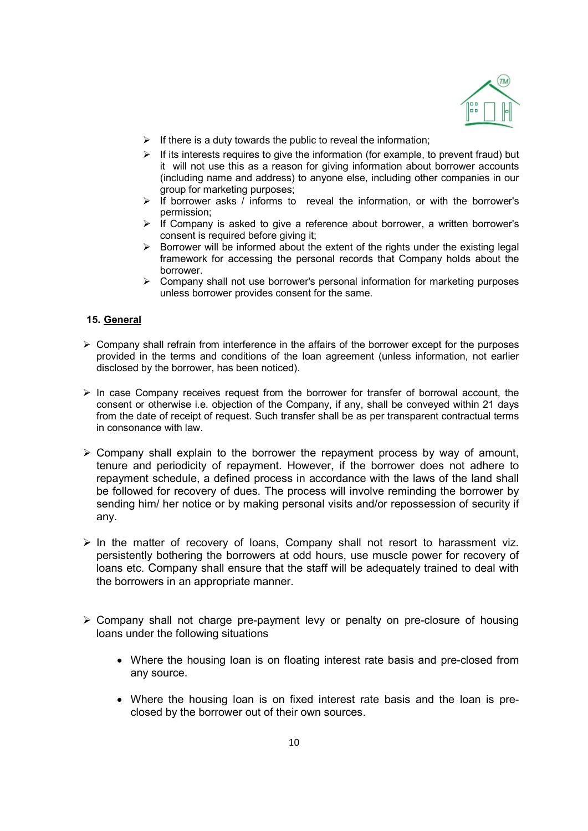

- $\triangleright$  If there is a duty towards the public to reveal the information;
- $\triangleright$  If its interests requires to give the information (for example, to prevent fraud) but it will not use this as a reason for giving information about borrower accounts (including name and address) to anyone else, including other companies in our group for marketing purposes;
- $\triangleright$  If borrower asks  $\overline{\prime}$  informs to reveal the information, or with the borrower's permission;
- $\triangleright$  if Company is asked to give a reference about borrower, a written borrower's consent is required before giving it:
- $\triangleright$  Borrower will be informed about the extent of the rights under the existing legal framework for accessing the personal records that Company holds about the borrower.
- $\triangleright$  Company shall not use borrower's personal information for marketing purposes unless borrower provides consent for the same.

### 15. General

- $\triangleright$  Company shall refrain from interference in the affairs of the borrower except for the purposes provided in the terms and conditions of the loan agreement (unless information, not earlier disclosed by the borrower, has been noticed).
- $\triangleright$  In case Company receives request from the borrower for transfer of borrowal account, the consent or otherwise i.e. objection of the Company, if any, shall be conveyed within 21 days from the date of receipt of request. Such transfer shall be as per transparent contractual terms in consonance with law.
- $\triangleright$  Company shall explain to the borrower the repayment process by way of amount, tenure and periodicity of repayment. However, if the borrower does not adhere to repayment schedule, a defined process in accordance with the laws of the land shall be followed for recovery of dues. The process will involve reminding the borrower by sending him/ her notice or by making personal visits and/or repossession of security if any.
- $\triangleright$  In the matter of recovery of loans, Company shall not resort to harassment viz. persistently bothering the borrowers at odd hours, use muscle power for recovery of loans etc. Company shall ensure that the staff will be adequately trained to deal with the borrowers in an appropriate manner.
- $\triangleright$  Company shall not charge pre-payment levy or penalty on pre-closure of housing loans under the following situations
	- Where the housing loan is on floating interest rate basis and pre-closed from any source.
	- Where the housing loan is on fixed interest rate basis and the loan is preclosed by the borrower out of their own sources.